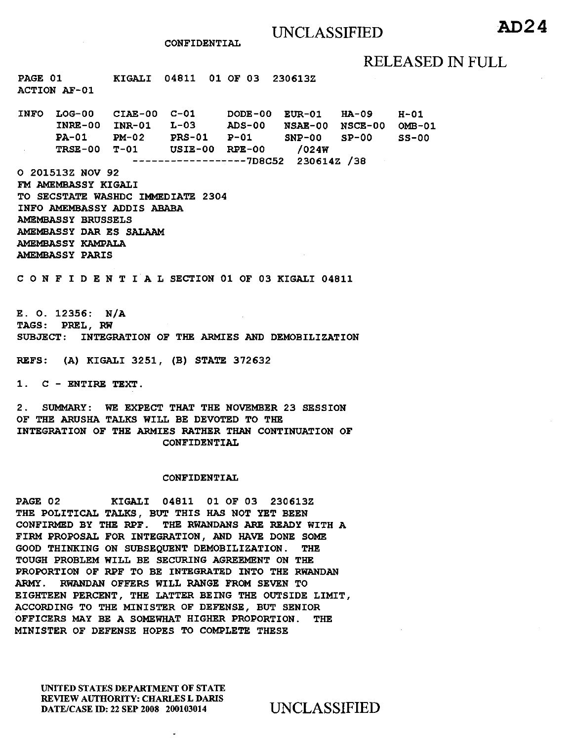CONFIDENTIAL

## RELEASED IN FULL

PAGE 01 ACTION AF-01 KIGALI 04811 01 OF 03 230613Z

INFO LOG-00 CIAE-00 C-01 DODE-00 EUR-01 HA-09 INRE-00 INR-01 L-03 ADS-00 PA-01 PM-02 PRS-01 P-01 TRSE-00 T-01 USIE-00 RPE-00 /024W ------------------7D8C52 230614Z /38 NSAE-00 NSCE-00 OMB-01 SNP-00 SP-00 H-01  $SS-00$ 

0 201513Z NOV 92 FM AMEMBASSY KIGALI TO SECSTATE WASHDC IMMEDIATE 2304 INFO AMEMBASSY ADDIS ABABA AMEMBASSY BRUSSELS AMEMBASSY DAR ES SALAAM AMEMBASSY KAMPALA AMEMBASSY PARIS

C 0 N F I D E N T I A L SECTION 01 OF 03 KIGALI 04811

E. 0. 12356: N/A TAGS: PREL, RW SUBJECT: INTEGRATION OF THE ARMIES AND DEMOBILIZATION

REFS: (A) KIGALI 3251, (B) STATE 372632

1. C - ENTIRE TEXT.

2. SUMMARY: WE EXPECT THAT THE NOVEMBER 23 SESSION OF THE ARUSHA TALKS WILL BE DEVOTED TO THE INTEGRATION OF THE ARMIES RATHER THAN CONTINUATION OF CONFIDENTIAL

#### CONFIDENTIAL

PAGE 02 KIGALI 04811 01 OF 03 230613Z THE POLITICAL TALKS, BUT THIS HAS NOT YET BEEN CONFIRMED BY THE RPF. THE RWANDANS ARE READY WITH A FIRM PROPOSAL FOR INTEGRATION, AND HAVE DONE SOME GOOD THINKING ON SUBSEQUENT DEMOBILIZATION. THE TOUGH PROBLEM WILL BE SECURING AGREEMENT ON THE PROPORTION OF RPF TO BE INTEGRATED INTO THE RWANDAN ARMY. RWANDAN OFFERS WILL RANGE FROM SEVEN TO EIGHTEEN PERCENT, THE LATTER BEING THE OUTSIDE LIMIT, ACCORDING TO THE MINISTER OF DEFENSE, BUT SENIOR OFFICERS MAY BE A SOMEWHAT HIGHER PROPORTION. THE MINISTER OF DEFENSE HOPES TO COMPLETE THESE

UNITED STATES DEPARTMENT OF STATE REVIEW AUTHORITY: CHARLES L DARIS DATE/CASE ID: 22 SEP 2008 200103014 UNCLASSIFIED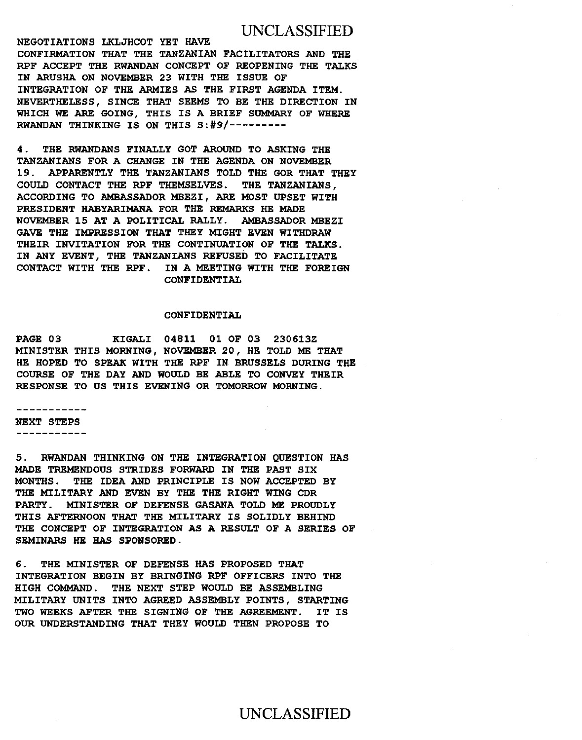### UNCLASSIFIED

NEGOTIATIONS LKLJHCOT YET HAVE CONFIRMATION THAT THE TANZANIAN FACILITATORS AND THE RPF ACCEPT THE RWANDAN CONCEPT OF REOPENING THE TALKS IN ARUSHA ON NOVEMBER 23 WITH THE ISSUE OF INTEGRATION OF THE ARMIES AS THE FIRST AGENDA ITEM. NEVERTHELESS, SINCE THAT SEEMS TO BE THE DIRECTION IN WHICH WE ARE GOING, THIS IS A BRIEF SUMMARY OF WHERE RWANDAN THINKING IS ON THIS S:#9/---------

4 . THE RWANDANS FINALLY GOT AROUND TO ASKING THE TANZANIANS FOR A CHANGE IN THE AGENDA ON NOVEMBER 19. APPARENTLY THE TANZANIANS TOLD THE GOR THAT THEY COULD CONTACT THE RPF THEMSELVES. THE TANZANIANS, ACCORDING TO AMBASSADOR MBEZI, ARE MOST UPSET WITH PRESIDENT HABYARIMANA FOR THE REMARKS HE MADE NOVEMBER 15 AT A POLITICAL RALLY. AMBASSADOR MBEZI GAVE THE IMPRESSION THAT THEY MIGHT EVEN WITHDRAW THEIR INVITATION FOR THE CONTINUATION OF THE TALKS. IN ANY EVENT, THE TANZANIANS REFUSED TO FACILITATE CONTACT WITH THE RPF. IN A MEETING WITH THE FOREIGN CONFIDENTIAL

#### CONFIDENTIAL

PAGE 03 KIGALI 04811 01 OF 03 230613Z MINISTER THIS MORNING, NOVEMBER 20, HE TOLD ME THAT HE HOPED TO SPEAK WITH THE RPF IN BRUSSELS DURING THE COURSE OF THE DAY AND WOULD BE ABLE TO CONVEY THEIR RESPONSE TO US THIS EVENING OR TOMORROW MORNING.

. . . . . . . . . . . . NEXT STEPS -----------

5. RWANDAN THINKING ON THE INTEGRATION QUESTION HAS MADE TREMENDOUS STRIDES FORWARD IN THE PAST SIX MONTHS. THE IDEA AND PRINCIPLE IS NOW ACCEPTED BY THE MILITARY AND EVEN BY THE THE RIGHT WING CDR PARTY. MINISTER OF DEFENSE GASANA TOLD ME PROUDLY THIS AFTERNOON THAT THE MILITARY IS SOLIDLY BEHIND THE CONCEPT OF INTEGRATION AS A RESULT OF A SERIES OF SEMINARS HE HAS SPONSORED.

6. THE MINISTER OF DEFENSE HAS PROPOSED THAT INTEGRATION BEGIN BY BRINGING RPF OFFICERS INTO THE HIGH COMMAND. THE NEXT STEP WOULD BE ASSEMBLING MILITARY UNITS INTO AGREED ASSEMBLY POINTS, STARTING TWO WEEKS AFTER THE SIGNING OF THE AGREEMENT. IT IS OUR UNDERSTANDING THAT THEY WOULD THEN PROPOSE TO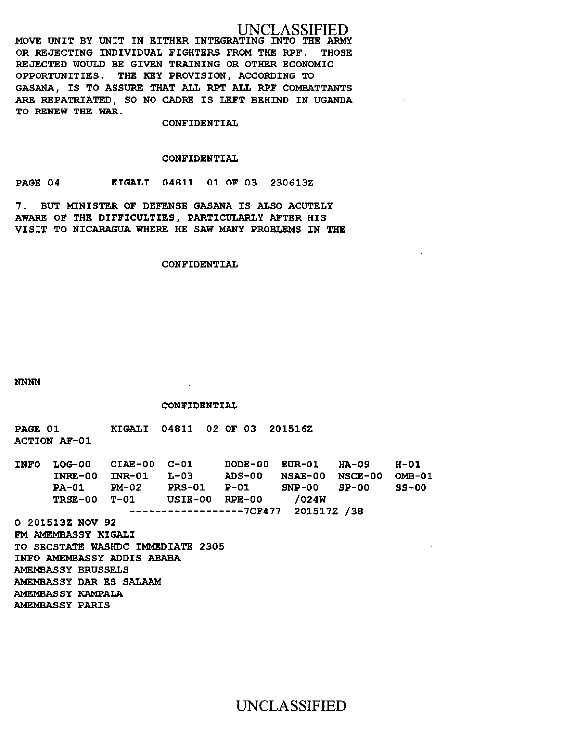# UNCLASSIFIED

MOVE UNIT BY UNIT IN EITHER INTEGRATING INTO THE ARMY OR REJECTING INDIVIDUAL FIGHTERS FROM THE RPF. THOSE REJECTED WOULD BE GIVEN TRAINING OR OTHER ECONOMIC OPPORTUNITIES. THE KEY PROVISION, ACCORDING TO GASANA, IS TO ASSURE THAT ALL RPT ALL RPF COMBATTANTS ARE REPATRIATED, SO NO CADRE IS LEFT BEHIND IN UGANDA TO RENEW THE WAR.

#### CONFIDENTIAL

#### CONFIDENTIAL

PAGE 04 KIGALI 04811 01 OF 03 230613Z

7. BUT MINISTER OF DEFENSE GASANA IS ALSO ACUTELY AWARE OF THE DIFFICULTIES, PARTICULARLY AFTER HIS VISIT TO NICARAGUA WHERE HE SAW MANY PROBLEMS IN THE

#### CONFIDENTIAL

NNNN

#### CONFIDENTIAL

PAGE 01 ACTION AF-01 KIGALI 04811 02 OF 03 201516Z

| <b>INFO</b> |                                     | LOG-00 CIAE-00 C-01 |                |               | DODE-00 EUR-01 HA-09   |         | H-01  |
|-------------|-------------------------------------|---------------------|----------------|---------------|------------------------|---------|-------|
|             | INRE-00 INR-01                      |                     | $L-0.3$        | <b>ADS-00</b> | NSAE-00 NSCE-00 OMB-01 |         |       |
|             | <b>PA-01</b>                        | <b>PM-02</b>        | <b>PRS-01</b>  | $P-01$        | SNP-00                 | $SP-00$ | SS-00 |
|             | <b>TRSE-00 T-01</b>                 |                     | USIE-00 RPE-00 |               | /024W                  |         |       |
|             | $---------------7CF477 201517Z /38$ |                     |                |               |                        |         |       |

0 201513Z NOV 92 FM AMEMBASSY KIGALI TO SECSTATE WASHDC IMMEDIATE 2305 INFO AMEMBASSY ADDIS ABABA AMEMSASSY BRUSSELS AMEMBASSY DAR ES SALAAM AMEMBASSY KAMPALA AMEMBASSY PARIS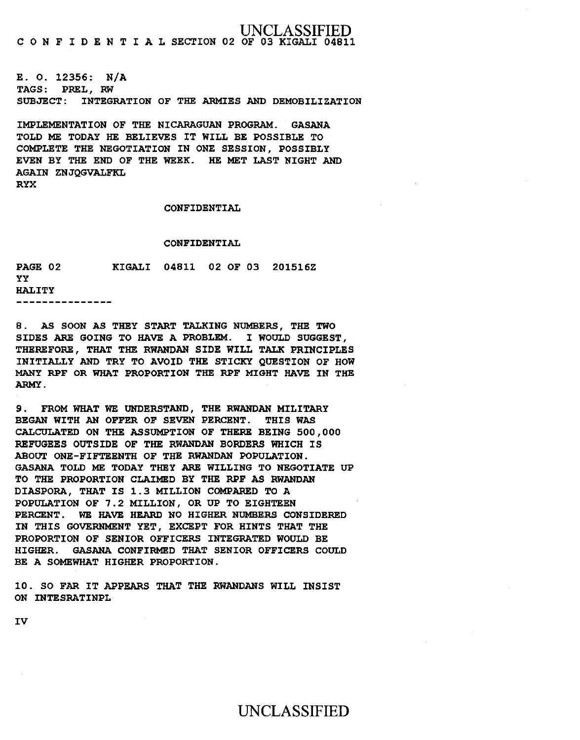'LASSIFIED C 0 N F I D E N T I A L SECTION 02 OF 03 KIGALI 04811

E. 0. 12356: N/A TAGS: PREL, RW SUBJECT: INTEGRATION OF THE ARMIES AND DEMOBILIZATION

IMPLEMENTATION OF THE NICARAGUAN PROGRAM. GASANA TOLD ME TODAY HE BELIEVES IT WILL BE POSSIBLE TO COMPLETE THE NEGOTIATION IN ONE SESSION, POSSIBLY EVEN BY THE END OF THE WEEK. HE MET LAST NIGHT AND AGAIN ZNJQGVALFKL RYX

CONFIDENTIAL

#### CONFIDENTIAL

KIGALI 04811 02 OF 03 201516Z PAGE 02 yy HALITY ---------------

8. AS SOON AS THEY START TALKING NUMBERS, THE TWO SIDES ARE GOING TO HAVE A PROBLEM. I WOULD SUGGEST, THEREFORE, THAT THE RWANDAN SIDE WILL TALK PRINCIPLES INITIALLY AND TRY TO AVOID THE STICKY QUESTION OF HOW MANY RPF OR WHAT PROPORTION THE RPF MIGHT HAVE IN THE ARMY.

9. FROM WHAT WE UNDERSTAND, THE RWANDAN MILITARY BEGAN WITH AN OFFER OF SEVEN PERCENT. THIS WAS CALCULATED ON THE ASSUMPTION OF THERE BEING 500,000 REFUGEES OUTSIDE OF THE RWANDAN BORDERS WHICH IS ABOUT ONE-FIFTEENTH OF THE RWANDAN POPULATION. GASANA TOLD ME TODAY THEY ARE WILLING TO NEGOTIATE UP TO THE PROPORTION CLAIMED BY THE RPF AS RWANDAN DIASPORA, THAT IS 1. 3 MILLION COMPARED TO A POPULATION OF 7.2 MILLION, OR UP TO EIGHTEEN PERCENT. WE HAVE HEARD NO HIGHER NUMBERS CONSIDERED IN THIS GOVERNMENT YET, EXCEPT FOR HINTS THAT THE PROPORTION OF SENIOR OFFICERS INTEGRATED WOULD BE HIGHER. GASANA CONFIRMED THAT SENIOR OFFICERS COULD BE A SOMEWHAT HIGHER PROPORTION.

10. SO FAR IT APPEARS THAT THE RWANDANS WILL INSIST ON INTESRATINPL

IV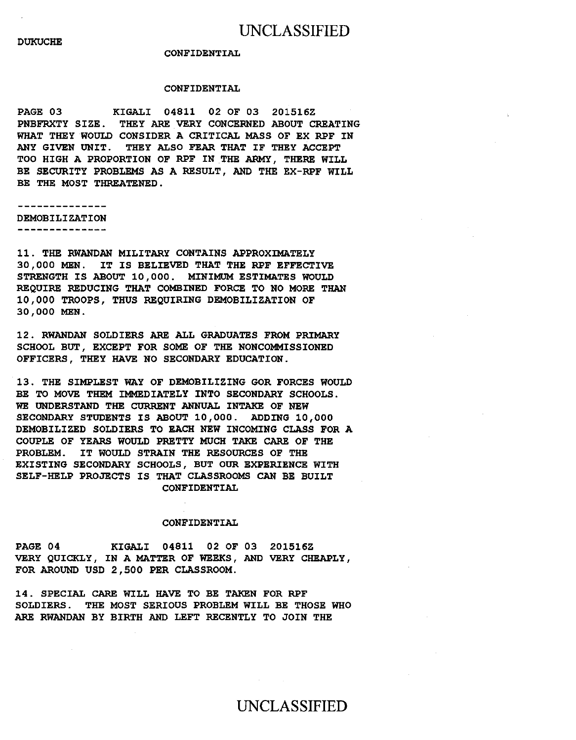#### CONFIDENTIAL

#### CONFIDENTIAL

PAGE 03 KIGALI 04811 02 OF 03 201516Z PNBFRXTY SIZE. THEY ARE VERY CONCERNED ABOUT CREATING WHAT THEY WOULD CONSIDER A CRITICAL MASS OF EX RPF IN ANY GIVEN UNIT. THEY ALSO FEAR THAT IF THEY ACCEPT TOO HIGH A PROPORTION OF RPF IN THE ARMY, THERE WILL BE SECURITY PROBLEMS AS A RESULT, AND THE EX-RPF WILL BE THE MOST THREATENED.

--------------DEMOBILIZATION --------------

11. THE RWANDAN MILITARY CONTAINS APPROXIMATELY 30,000 MEN. IT IS BELIEVED THAT THE RPF EFFECTIVE STRENGTH IS ABOUT 10,000. MINIMUM ESTIMATES WOULD REQUIRE REDUCING THAT COMBINED FORCE TO NO MORE THAN 10,000 TROOPS, THUS REQUIRING DEMOBILIZATION OF 30,000 MEN.

12. RWANDAN SOLDIERS ARE ALL GRADUATES FROM PRIMARY SCHOOL BUT, EXCEPT FOR SOME OF THE NONCOMMISSIONED OFFICERS, THEY HAVE NO SECONDARY EDUCATION.

13. THE SIMPLEST WAY OF DEMOBILIZING GOR FORCES WOULD BE TO MOVE THEM IMMEDIATELY INTO SECONDARY SCHOOLS. WE UNDERSTAND THE CURRENT ANNUAL INTAKE OF NEW SECONDARY STUDENTS IS ABOUT 10,000. ADDING 10,000 DEMOBILIZED SOLDIERS TO EACH NEW INCOMING CLASS FOR A COUPLE OF YEARS WOULD PRETTY MUCH TAKE CARE OF THE PROBLEM. IT WOULD STRAIN THE RESOURCES OF THE EXISTING SECONDARY SCHOOLS, BUT OUR EXPERIENCE WITH SELF-HELP PROJECTS IS THAT CLASSROOMS CAN BE BUILT CONFIDENTIAL

#### CONFIDENTIAL

PAGE 04 KIGALI 04811 02 OF 03 201516Z VERY QUICKLY, IN A MATTER OF WEEKS, AND VERY CHEAPLY, FOR AROUND USD 2,500 PER CLASSROOM.

14. SPECIAL CARE WILL HAVE TO BE TAKEN FOR RPF SOLDIERS. THE MOST SERIOUS PROBLEM WILL BE THOSE WHO ARE RWANDAN BY BIRTH AND LEFT RECENTLY TO JOIN THE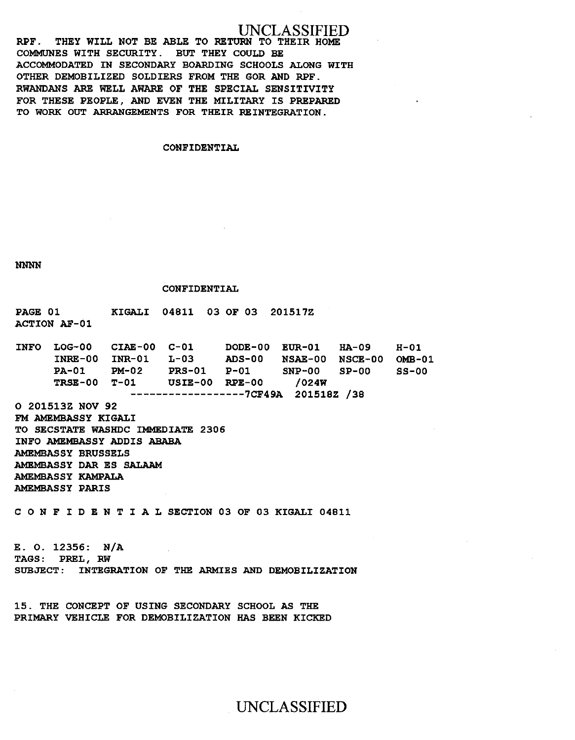# UNCLASSIFIED

RPF. THEY WILL NOT BE ABLE TO RETURN TO THEIR HOME COMMUNES WITH SECURITY. BUT THEY COULD BE ACCOMMODATED IN SECONDARY BOARDING SCHOOLS ALONG WITH OTHER DEMOBILIZED SOLDIERS FROM THE GOR AND RPF. RWANDANS ARE WELL AWARE OF THE SPECIAL SENSITIVITY FOR THESE PEOPLE, AND EVEN THE MILITARY IS PREPARED TO WORK OUT ARRANGEMENTS FOR THEIR REINTEGRATION.

#### CONFIDENTIAL

NNNN

#### CONFIDENTIAL

PAGE 01 ACTION AF-01 KIGALI 04811 03 OF 03 201517Z

INFO LOG-00 INRE-00 INR-01 PA-01 TRSE-00 T-01 CIAE-00 C-01 PM-02 L-03 PRS-01 USIE-00 DODE-00 EUR-01 ADS-00 NSAE-00 NSCE-00 P-Ol SNP-00 RPE-00 /024W ------------------7CF49A 201518Z /38 HA-09  $SP-00$ H-01 OMB-01  $SS-00$ 

0 201513Z NOV 92 FM AMEMBASSY KIGALI TO SECSTATE WASHDC IMMEDIATE 2306 INFO AMEMBASSY ADDIS ABABA AMEMBASSY BRUSSELS AMEMBASSY DAR ES SALAAM AMEMBASSY KAMPALA AMEMBASSY PARIS

C 0 N F I D E N T I A L SECTION 03 OF 03 KIGALI 04811

E. 0. 12356: N/A TAGS: PREL, RW SUBJECT: INTEGRATION OF THE ARMIES AND DEMOBILIZATION

15. THE CONCEPT OF USING SECONDARY SCHOOL AS THE PRIMARY VEHICLE FOR DEMOBILIZATION HAS BEEN KICKED